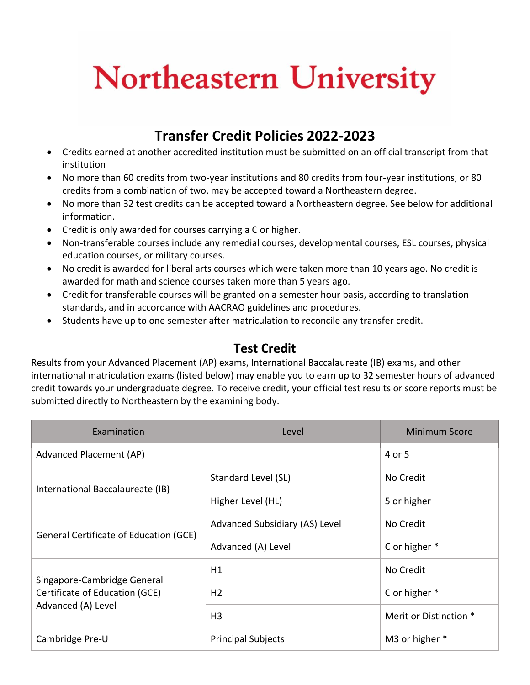## **Northeastern University**

## **Transfer Credit Policies 2022-2023**

- Credits earned at another accredited institution must be submitted on an official transcript from that institution
- No more than 60 credits from two-year institutions and 80 credits from four-year institutions, or 80 credits from a combination of two, may be accepted toward a Northeastern degree.
- No more than 32 test credits can be accepted toward a Northeastern degree. See below for additional information.
- Credit is only awarded for courses carrying a C or higher.
- Non-transferable courses include any remedial courses, developmental courses, ESL courses, physical education courses, or military courses.
- No credit is awarded for liberal arts courses which were taken more than 10 years ago. No credit is awarded for math and science courses taken more than 5 years ago.
- Credit for transferable courses will be granted on a semester hour basis, according to translation standards, and in accordance with AACRAO guidelines and procedures.
- Students have up to one semester after matriculation to reconcile any transfer credit.

## **Test Credit**

Results from your Advanced Placement (AP) exams, International Baccalaureate (IB) exams, and other international matriculation exams (listed below) may enable you to earn up to 32 semester hours of advanced credit towards your undergraduate degree. To receive credit, your official test results or score reports must be submitted directly to Northeastern by the examining body.

| Examination                                                                         | Level                          | Minimum Score          |
|-------------------------------------------------------------------------------------|--------------------------------|------------------------|
| Advanced Placement (AP)                                                             |                                | 4 or 5                 |
| International Baccalaureate (IB)                                                    | Standard Level (SL)            | No Credit              |
|                                                                                     | Higher Level (HL)              | 5 or higher            |
| General Certificate of Education (GCE)                                              | Advanced Subsidiary (AS) Level | No Credit              |
|                                                                                     | Advanced (A) Level             | C or higher *          |
| Singapore-Cambridge General<br>Certificate of Education (GCE)<br>Advanced (A) Level | H1                             | No Credit              |
|                                                                                     | H <sub>2</sub>                 | C or higher *          |
|                                                                                     | H <sub>3</sub>                 | Merit or Distinction * |
| Cambridge Pre-U                                                                     | <b>Principal Subjects</b>      | M3 or higher *         |